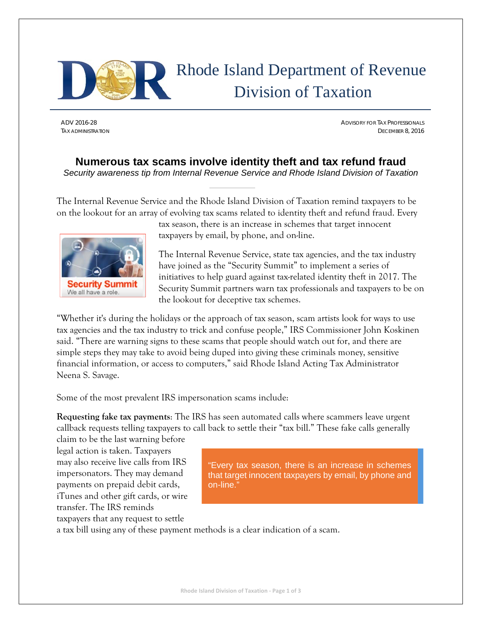

## Rhode Island Department of Revenue Division of Taxation

ADV 2016-28 ADVISORY FOR TAX PROFESSIONALS TAX ADMINISTRATION DECEMBER 8, 2016

## **Numerous tax scams involve identity theft and tax refund fraud**  *Security awareness tip from Internal Revenue Service and Rhode Island Division of Taxation*

The Internal Revenue Service and the Rhode Island Division of Taxation remind taxpayers to be on the lookout for an array of evolving tax scams related to identity theft and refund fraud. Every



tax season, there is an increase in schemes that target innocent taxpayers by email, by phone, and on-line.

The Internal Revenue Service, state tax agencies, and the tax industry have joined as the "Security Summit" to implement a series of initiatives to help guard against tax-related identity theft in 2017. The Security Summit partners warn tax professionals and taxpayers to be on the lookout for deceptive tax schemes.

"Whether it's during the holidays or the approach of tax season, scam artists look for ways to use tax agencies and the tax industry to trick and confuse people," IRS Commissioner John Koskinen said. "There are warning signs to these scams that people should watch out for, and there are simple steps they may take to avoid being duped into giving these criminals money, sensitive financial information, or access to computers," said Rhode Island Acting Tax Administrator Neena S. Savage.

Some of the most prevalent IRS impersonation scams include:

**Requesting fake tax payments**: The IRS has seen automated calls where scammers leave urgent callback requests telling taxpayers to call back to settle their "tax bill." These fake calls generally

claim to be the last warning before legal action is taken. Taxpayers may also receive live calls from IRS impersonators. They may demand payments on prepaid debit cards, iTunes and other gift cards, or wire transfer. The IRS reminds

"Every tax season, there is an increase in schemes that target innocent taxpayers by email, by phone and on-line."

taxpayers that any request to settle

a tax bill using any of these payment methods is a clear indication of a scam.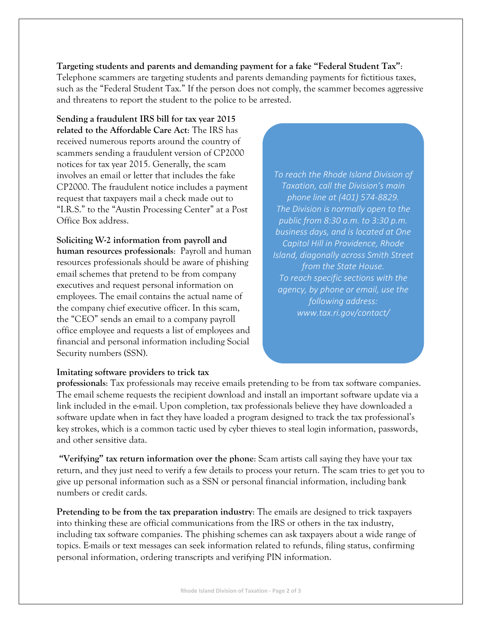**Targeting students and parents and demanding payment for a fake "Federal Student Tax"**: Telephone scammers are targeting students and parents demanding payments for fictitious taxes, such as the "Federal Student Tax." If the person does not comply, the scammer becomes aggressive and threatens to report the student to the police to be arrested.

**Sending a fraudulent IRS bill for tax year 2015 related to the Affordable Care Act**: The IRS has received numerous reports around the country of scammers sending a fraudulent version of CP2000 notices for tax year 2015. Generally, the scam involves an email or letter that includes the fake CP2000. The fraudulent notice includes a payment request that taxpayers mail a check made out to "I.R.S." to the "Austin Processing Center" at a Post Office Box address.

**Soliciting W-2 information from payroll and human resources professionals**: Payroll and human resources professionals should be aware of phishing email schemes that pretend to be from company executives and request personal information on employees. The email contains the actual name of the company chief executive officer. In this scam, the "CEO" sends an email to a company payroll office employee and requests a list of employees and financial and personal information including Social Security numbers (SSN).

*To reach the Rhode Island Division of Taxation, call the Division's main phone line at (401) 574‐8829. The Division is normally open to the public from 8:30 a.m. to 3:30 p.m. business days, and is located at One Capitol Hill in Providence, Rhode Island, diagonally across Smith Street from the State House. To reach specific sections with the agency, by phone or email, use the following address: www.tax.ri.gov/contact/* 

## **Imitating software providers to trick tax**

**professionals**: Tax professionals may receive emails pretending to be from tax software companies. The email scheme requests the recipient download and install an important software update via a link included in the e-mail. Upon completion, tax professionals believe they have downloaded a software update when in fact they have loaded a program designed to track the tax professional's key strokes, which is a common tactic used by cyber thieves to steal login information, passwords, and other sensitive data.

 **"Verifying" tax return information over the phone**: Scam artists call saying they have your tax return, and they just need to verify a few details to process your return. The scam tries to get you to give up personal information such as a SSN or personal financial information, including bank numbers or credit cards.

**Pretending to be from the tax preparation industry**: The emails are designed to trick taxpayers into thinking these are official communications from the IRS or others in the tax industry, including tax software companies. The phishing schemes can ask taxpayers about a wide range of topics. E-mails or text messages can seek information related to refunds, filing status, confirming personal information, ordering transcripts and verifying PIN information.